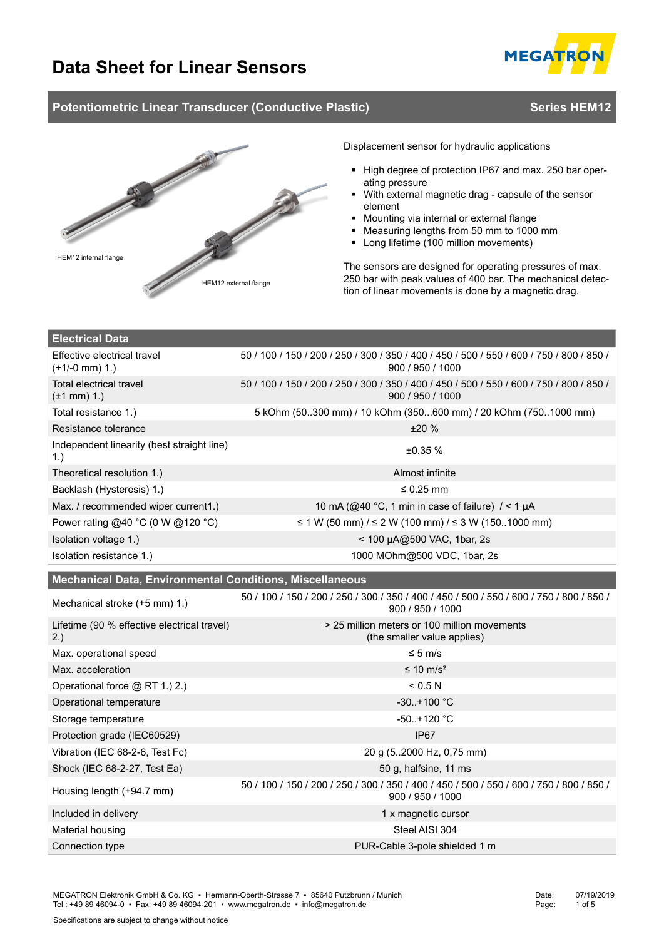

# **Potentiometric Linear Transducer (Conductive Plastic) <b>Series HEM12** Series HEM12



**Electrical Data**

Displacement sensor for hydraulic applications

- High degree of protection IP67 and max. 250 bar operating pressure
- With external magnetic drag capsule of the sensor element
- Mounting via internal or external flange
- Measuring lengths from 50 mm to 1000 mm
- Long lifetime (100 million movements)

The sensors are designed for operating pressures of max. 250 bar with peak values of 400 bar. The mechanical detection of linear movements is done by a magnetic drag.

| Effective electrical travel<br>$(+1/-0$ mm $)$ 1.)              | 50 / 100 / 150 / 200 / 250 / 300 / 350 / 400 / 450 / 500 / 550 / 600 / 750 / 800 / 850 /<br>900 / 950 / 1000 |  |  |  |
|-----------------------------------------------------------------|--------------------------------------------------------------------------------------------------------------|--|--|--|
| <b>Total electrical travel</b><br>$(\pm 1$ mm $)$ 1.)           | 50 / 100 / 150 / 200 / 250 / 300 / 350 / 400 / 450 / 500 / 550 / 600 / 750 / 800 / 850 /<br>900 / 950 / 1000 |  |  |  |
| Total resistance 1.)                                            | 5 kOhm (50300 mm) / 10 kOhm (350600 mm) / 20 kOhm (7501000 mm)                                               |  |  |  |
| Resistance tolerance                                            | ±20%                                                                                                         |  |  |  |
| Independent linearity (best straight line)<br>1.                | ±0.35%                                                                                                       |  |  |  |
| Theoretical resolution 1.)                                      | Almost infinite                                                                                              |  |  |  |
| Backlash (Hysteresis) 1.)                                       | ≤ 0.25 mm                                                                                                    |  |  |  |
| Max. / recommended wiper current1.)                             | 10 mA (@40 °C, 1 min in case of failure) $/ < 1 \mu A$                                                       |  |  |  |
| Power rating @40 °C (0 W @120 °C)                               | ≤ 1 W (50 mm) / ≤ 2 W (100 mm) / ≤ 3 W (1501000 mm)                                                          |  |  |  |
| Isolation voltage 1.)                                           | < 100 µA@500 VAC, 1bar, 2s                                                                                   |  |  |  |
| Isolation resistance 1.)                                        | 1000 MOhm@500 VDC, 1bar, 2s                                                                                  |  |  |  |
| <b>Mechanical Data, Environmental Conditions, Miscellaneous</b> |                                                                                                              |  |  |  |
|                                                                 |                                                                                                              |  |  |  |
| Mechanical stroke (+5 mm) 1.)                                   | 50 / 100 / 150 / 200 / 250 / 300 / 350 / 400 / 450 / 500 / 550 / 600 / 750 / 800 / 850 /<br>900 / 950 / 1000 |  |  |  |
| Lifetime (90 % effective electrical travel)<br>2.)              | > 25 million meters or 100 million movements<br>(the smaller value applies)                                  |  |  |  |
| Max. operational speed                                          | $\leq 5$ m/s                                                                                                 |  |  |  |
| Max. acceleration                                               | ≤ 10 m/s²                                                                                                    |  |  |  |
| Operational force @ RT 1.) 2.)                                  | < 0.5 N                                                                                                      |  |  |  |
| Operational temperature                                         | $-30. + 100 °C$                                                                                              |  |  |  |
| Storage temperature                                             | $-50.+120 °C$                                                                                                |  |  |  |
| Protection grade (IEC60529)                                     | IP <sub>67</sub>                                                                                             |  |  |  |
| Vibration (IEC 68-2-6, Test Fc)                                 | 20 g (52000 Hz, 0,75 mm)                                                                                     |  |  |  |
| Shock (IEC 68-2-27, Test Ea)                                    | 50 g, halfsine, 11 ms                                                                                        |  |  |  |
| Housing length (+94.7 mm)                                       | 50 / 100 / 150 / 200 / 250 / 300 / 350 / 400 / 450 / 500 / 550 / 600 / 750 / 800 / 850 /<br>900 / 950 / 1000 |  |  |  |
| Included in delivery                                            | 1 x magnetic cursor                                                                                          |  |  |  |

Connection type **PUR-Cable 3-pole shielded 1 m**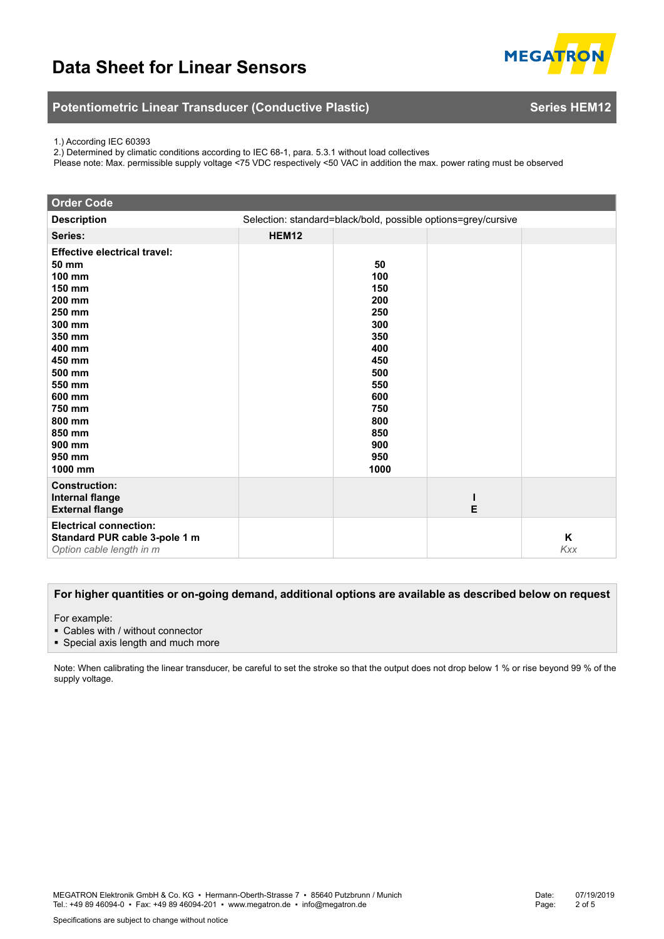

# **Potentiometric Linear Transducer (Conductive Plastic) <b>Series HEM12** Series HEM12

1.) According IEC 60393

2.) Determined by climatic conditions according to IEC 68-1, para. 5.3.1 without load collectives

Please note: Max. permissible supply voltage <75 VDC respectively <50 VAC in addition the max. power rating must be observed

| <b>Order Code</b>                                                                                                                                                                                                       |                                                               |                                                                                                                            |   |                 |
|-------------------------------------------------------------------------------------------------------------------------------------------------------------------------------------------------------------------------|---------------------------------------------------------------|----------------------------------------------------------------------------------------------------------------------------|---|-----------------|
| <b>Description</b>                                                                                                                                                                                                      | Selection: standard=black/bold, possible options=grey/cursive |                                                                                                                            |   |                 |
| Series:                                                                                                                                                                                                                 | HEM12                                                         |                                                                                                                            |   |                 |
| <b>Effective electrical travel:</b><br>50 mm<br>100 mm<br>150 mm<br>200 mm<br>250 mm<br>300 mm<br>350 mm<br>400 mm<br>450 mm<br>500 mm<br>550 mm<br>600 mm<br>750 mm<br>800 mm<br>850 mm<br>900 mm<br>950 mm<br>1000 mm |                                                               | 50<br>100<br>150<br>200<br>250<br>300<br>350<br>400<br>450<br>500<br>550<br>600<br>750<br>800<br>850<br>900<br>950<br>1000 |   |                 |
| <b>Construction:</b><br><b>Internal flange</b><br><b>External flange</b>                                                                                                                                                |                                                               |                                                                                                                            | Е |                 |
| <b>Electrical connection:</b><br>Standard PUR cable 3-pole 1 m<br>Option cable length in m                                                                                                                              |                                                               |                                                                                                                            |   | K<br><b>Kxx</b> |

#### **For higher quantities or on-going demand, additional options are available as described below on request**

For example:

- Cables with / without connector
- **Special axis length and much more**

Note: When calibrating the linear transducer, be careful to set the stroke so that the output does not drop below 1 % or rise beyond 99 % of the supply voltage.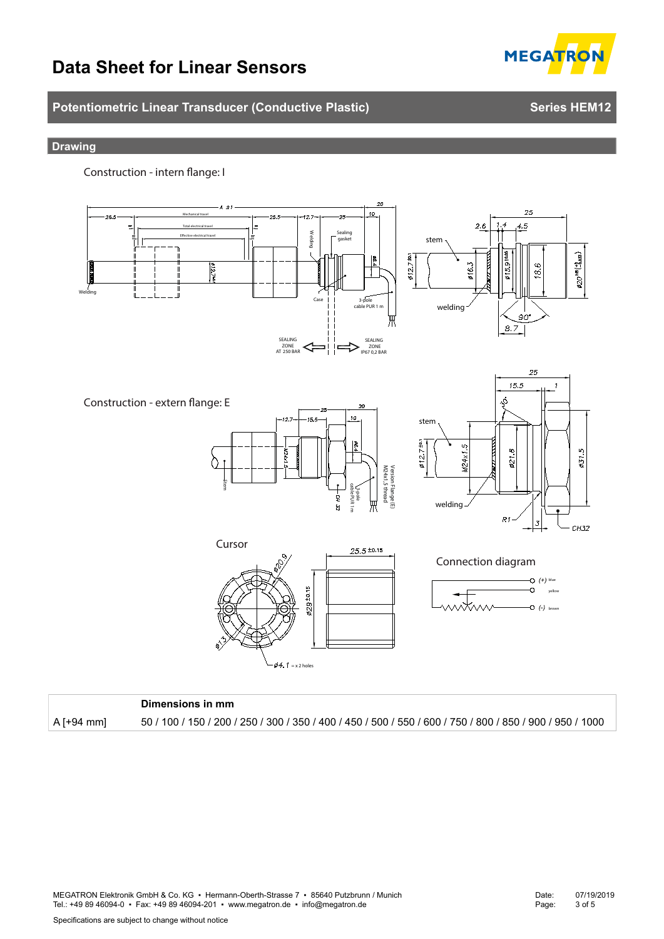# **Potentiometric Linear Transducer (Conductive Plastic) <b>Series HEM12** Series HEM12

#### **Drawing**

**Construction - intern flange: I** 



|              | Dimensions in mm                                                                                          |
|--------------|-----------------------------------------------------------------------------------------------------------|
| $A$ [+94 mm] | 50 / 100 / 150 / 200 / 250 / 300 / 350 / 400 / 450 / 500 / 550 / 600 / 750 / 800 / 850 / 900 / 950 / 1000 |

MEGATRON Elektronik GmbH & Co. KG ▪ Hermann-Oberth-Strasse 7 ▪ 85640 Putzbrunn / Munich Tel.: +49 89 46094-0 • Fax: +49 89 46094-201 • www.megatron.de • info@megatron.de

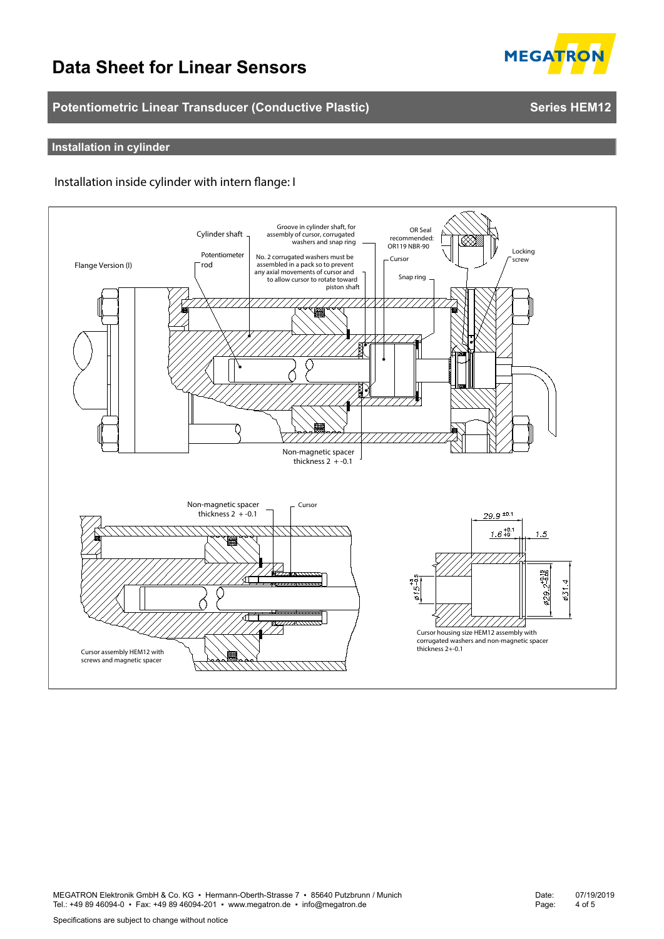# **Potentiometric Linear Transducer (Conductive Plastic) <b>Series HEM12** Series HEM12

# **Installation in cylinder**

#### **Installation inside cylinder with intern flange: I**